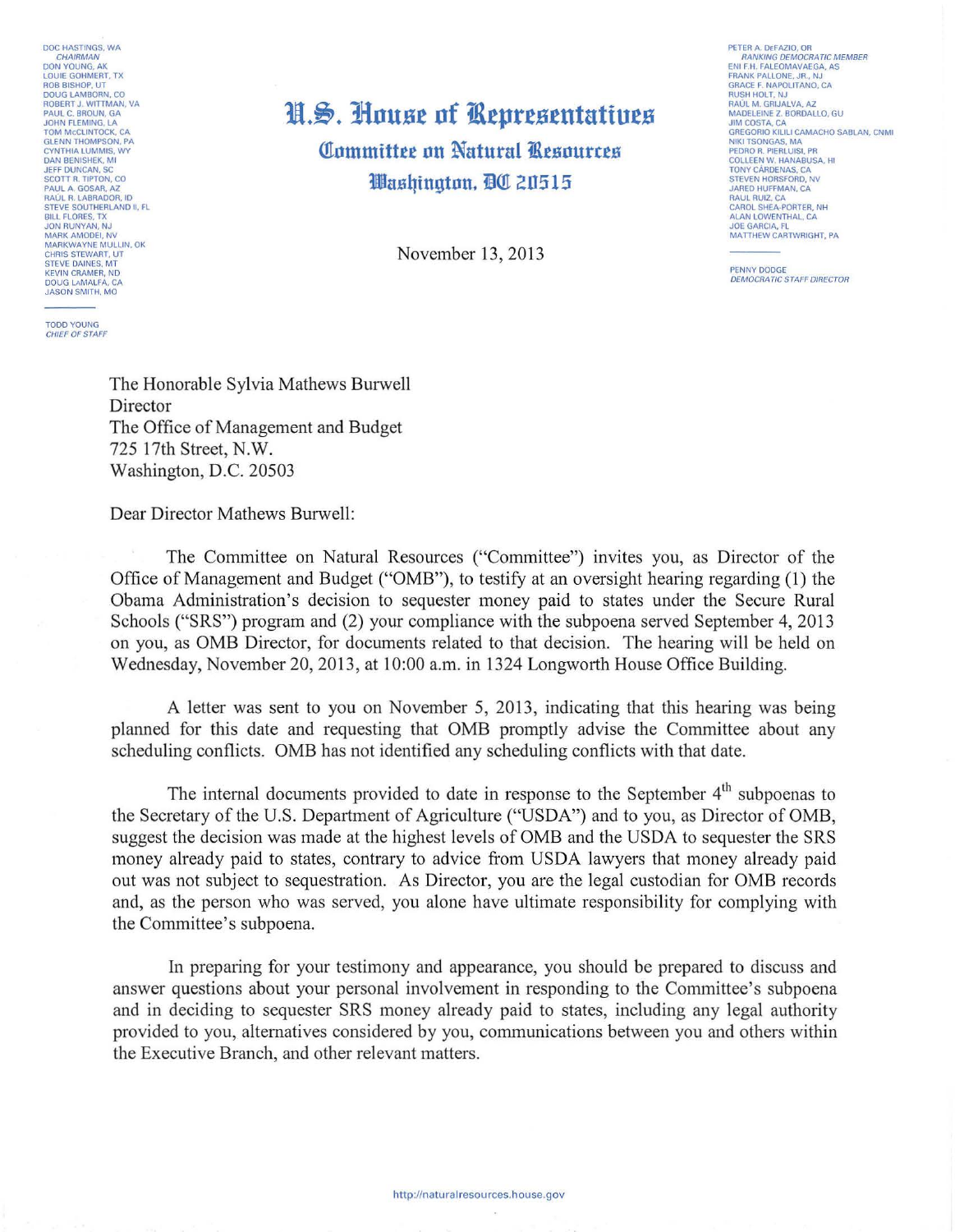DOC HASTINGS, WA CHAIRMAN<br>DON YOUNG, AK<br>LOUIE GOHMERT, TX ROB BISHOP, UT DOUG LAMBORN, CO ROBERT J. WITTMAN, VA PAUL C. BROUN, GA JOHN FLEMING, LA<br>TOM McCLINTOCK, CA<br>GLENN THOMPSON, PA CYNTHIA LUMMIS, WY DAN BENISHEK, Ml JEFF DUNCAN. SC SCOTT R. TIPTON, CO PAUL A GOSAA, AZ RAUL R. LABRADOR, ID STEVE SOUTHERLAND II, FL BILL FLORES. TX JON RUNYAN, NJ MARK AMODEI, NV MARKWAYNE MULLIN, OK CHAIS STEWART, UT STEVE DAINES, MT KEVIN CRAMER, ND DOUG LAMALFA, CA JASON SMITH, MO

TODD YOUNG<br>CHIEF OF STAFF

## **N.S. House of Representatives Committee on Natural Resources**

**Washington. BO 20515** 

November 13, 2013

PETER A. DEFAZIO, OR RANKING DEMOCRATIC MEMBER<br>ENI F.H. FALEOMAVAEGA, AS<br>FRANK PALLONE, JR., NJ GRACE F. NAPOLITANO, CA RUSH HOLT, NJ RAUL M GRIJALVA. AZ MADELEINE Z. BORDALLO, GU JIM COSTA. CA GREGORIO KILILI CAMACHO SABLAN. CNMI NIKI TSONGAS. MA PEDRO R. PIERLUISI, PR<br>COLLEEN W. HANABUSA, HI<br>TONY CÁRDENAS, CA<br>STEVEN HORSFORD, NV JARED HUFFMAN, CA RAUL RUIZ, CA CAROL SHEA-PORTER. NH ALAN LOWENTHAL, CA JOE GARCIA, FL MATTHEW CARTWRIGHT, PA

PENNY DODGE DEMOCRATIC STAFF DIRECTOR

The Honorable Sylvia Mathews Burwell Director The Office of Management and Budget 725 17th Street, N.W. Washington, D.C. 20503

Dear Director Mathews Burwell:

The Committee on Natural Resources ("Committee") invites you, as Director of the Office of Management and Budget ("OMB"), to testify at an oversight hearing regarding (1) the Obama Administration's decision to sequester money paid to states under the Secure Rural Schools ("SRS") program and (2) your compliance with the subpoena served September 4, 2013 on you, as OMB Director, for documents related to that decision. The hearing will be held on Wednesday, November 20, 2013, at 10:00 a.m. in 1324 Longworth House Office Building.

A letter was sent to you on November 5, 2013, indicating that this hearing was being planned for this date and requesting that OMB promptly advise the Committee about any scheduling conflicts. OMB has not identified any scheduling conflicts with that date.

The internal documents provided to date in response to the September  $4<sup>th</sup>$  subpoenas to the Secretary of the U.S. Department of Agriculture ("USDA") and to you, as Director of OMB, suggest the decision was made at the highest levels of OMB and the USDA to sequester the SRS money already paid to states, contrary to advice from USDA lawyers that money already paid out was not subject to sequestration. As Director, you are the legal custodian for OMB records and, as the person who was served, you alone have ultimate responsibility for complying with the Committee's subpoena.

In preparing for your testimony and appearance, you should be prepared to discuss and answer questions about your personal involvement in responding to the Committee's subpoena and in deciding to sequester SRS money already paid to states, including any legal authority provided to you, alternatives considered by you, communications between you and others within the Executive Branch, and other relevant matters.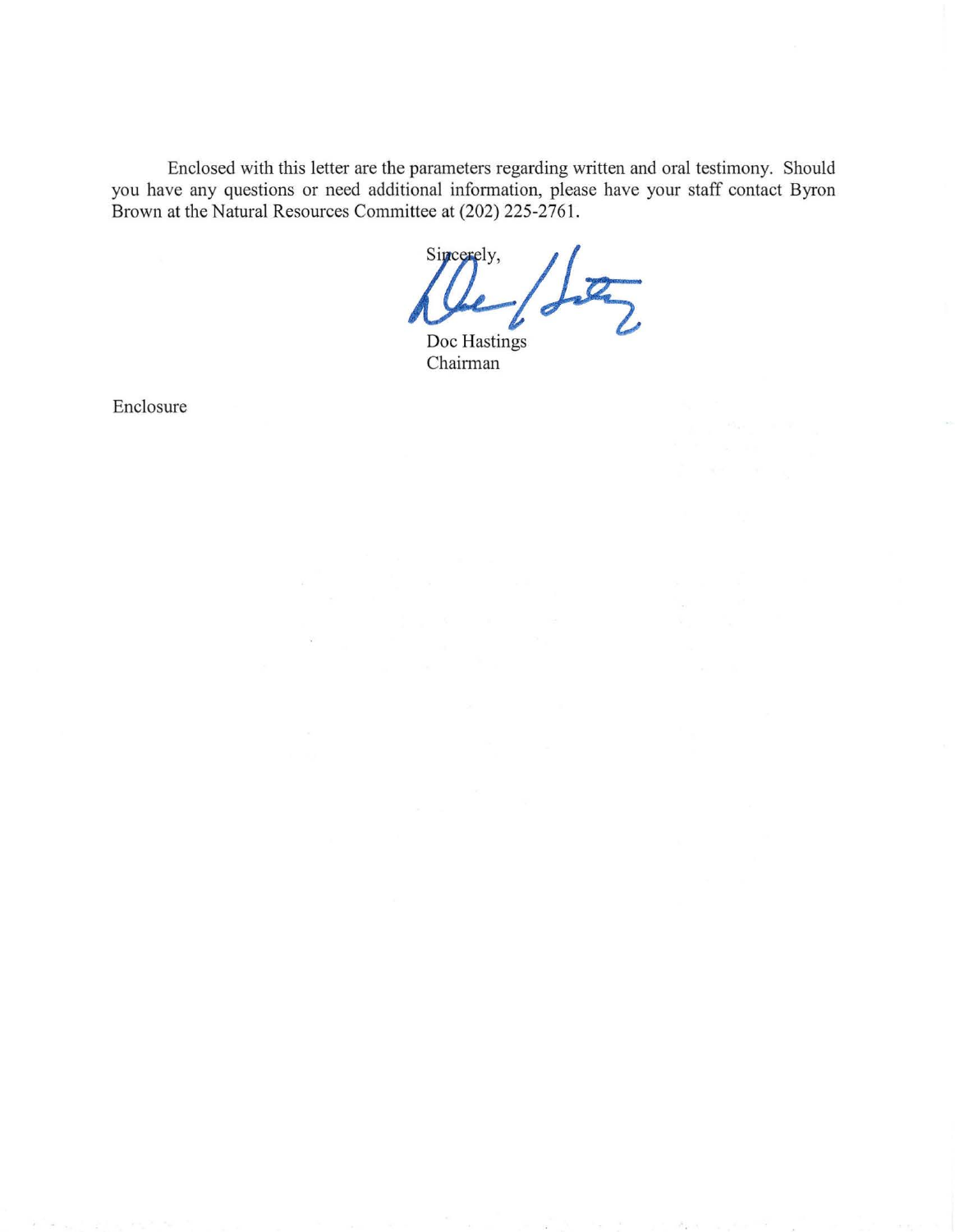Enclosed with this letter are the parameters regarding written and oral testimony. Should you have any questions or need additional information, please have your staff contact Byron Brown at the Natural Resources Committee at (202) 225-2761.

 $Q_{\text{loc} \text{Hastings}}$ Sincerely,

Chairman

Enclosure